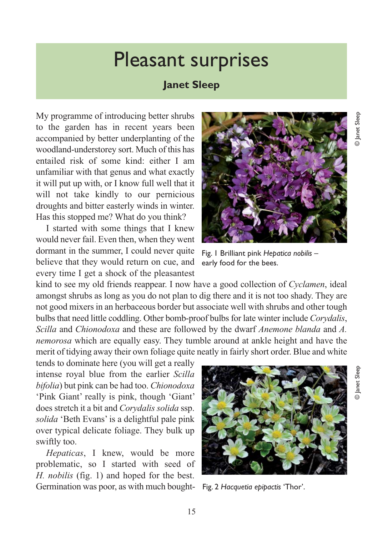## Pleasant surprises

## **Janet Sleep**

My programme of introducing better shrubs to the garden has in recent years been accompanied by better underplanting of the woodland-understorey sort. Much of this has entailed risk of some kind: either I am unfamiliar with that genus and what exactly it will put up with, or I know full well that it will not take kindly to our pernicious droughts and bitter easterly winds in winter. Has this stopped me? What do you think?

I started with some things that I knew would never fail. Even then, when they went dormant in the summer, I could never quite believe that they would return on cue, and every time I get a shock of the pleasantest

kind to see my old friends reappear. I now have a good collection of *Cyclamen*, ideal amongst shrubs as long as you do not plan to dig there and it is not too shady. They are not good mixers in an herbaceous border but associate well with shrubs and other tough bulbs that need little coddling. Other bomb-proof bulbs for late winter include *Corydalis*, *Scilla* and *Chionodoxa* and these are followed by the dwarf *Anemone blanda* and *A. nemorosa* which are equally easy. They tumble around at ankle height and have the merit of tidying away their own foliage quite neatly in fairly short order. Blue and white

tends to dominate here (you will get a really intense royal blue from the earlier *Scilla bifolia*) but pink can be had too. *Chionodoxa* 'Pink Giant' really is pink, though 'Giant' does stretch it a bit and *Corydalis solida* ssp. *solida* 'Beth Evans' is a delightful pale pink over typical delicate foliage. They bulk up swiftly too.

*Hepaticas*, I knew, would be more problematic, so I started with seed of *H. nobilis* (fig. 1) and hoped for the best. Germination was poor, as with much bought-



Fig. 2 *Hacquetia epipactis* 'Thor'.



Fig. 1 Brilliant pink *Hepatica nobilis* – early food for the bees.

© Janet Sleep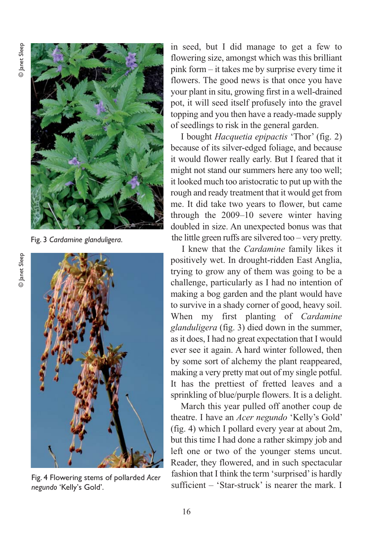

Fig. 3 *Cardamine glanduligera*.



Fig. 4 Flowering stems of pollarded *Acer negundo* 'Kelly's Gold'.

in seed, but I did manage to get a few to flowering size, amongst which was this brilliant pink form – it takes me by surprise every time it flowers. The good news is that once you have your plant in situ, growing first in a well-drained pot, it will seed itself profusely into the gravel topping and you then have a ready-made supply of seedlings to risk in the general garden.

I bought *Hacquetia epipactis* 'Thor' (fig. 2) because of its silver-edged foliage, and because it would flower really early. But I feared that it might not stand our summers here any too well; it looked much too aristocratic to put up with the rough and ready treatment that it would get from me. It did take two years to flower, but came through the 2009–10 severe winter having doubled in size. An unexpected bonus was that the little green ruffs are silvered too – very pretty.

I knew that the *Cardamine* family likes it positively wet. In drought-ridden East Anglia, trying to grow any of them was going to be a challenge, particularly as I had no intention of making a bog garden and the plant would have to survive in a shady corner of good, heavy soil. When my first planting of *Cardamine glanduligera* (fig. 3) died down in the summer, as it does, I had no great expectation that I would ever see it again. A hard winter followed, then by some sort of alchemy the plant reappeared, making a very pretty mat out of my single potful. It has the prettiest of fretted leaves and a sprinkling of blue/purple flowers. It is a delight.

March this year pulled off another coup de theatre. I have an *Acer negundo* 'Kelly's Gold' (fig. 4) which I pollard every year at about 2m, but this time I had done a rather skimpy job and left one or two of the younger stems uncut. Reader, they flowered, and in such spectacular fashion that I think the term 'surprised' is hardly sufficient – 'Star-struck' is nearer the mark. I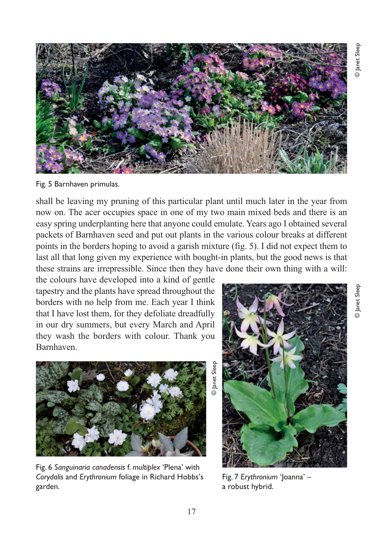

Fig. 5 Barnhaven primulas.

shall be leaving my pruning of this particular plant until much later in the year from now on. The acer occupies space in one of my two main mixed beds and there is an easy spring underplanting here that anyone could emulate. Years ago I obtained several packets of Barnhaven seed and put out plants in the various colour breaks at different points in the borders hoping to avoid a garish mixture (fig. 5). I did not expect them to last all that long given my experience with bought-in plants, but the good news is that these strains are irrepressible. Since then they have done their own thing with a will:

the colours have developed into a kind of gentle tapestry and the plants have spread throughout the borders with no help from me. Each year I think that I have lost them, for they defoliate dreadfully in our dry summers, but every March and April they wash the borders with colour. Thank you Barnhaven.



Fig. 6 *Sanguinaria canadensis* f. *multiplex* 'Plena' with *Corydalis* and *Erythronium* foliage in Richard Hobbs's garden.

Fig. 7 *Erythronium* 'Joanna' – a robust hybrid.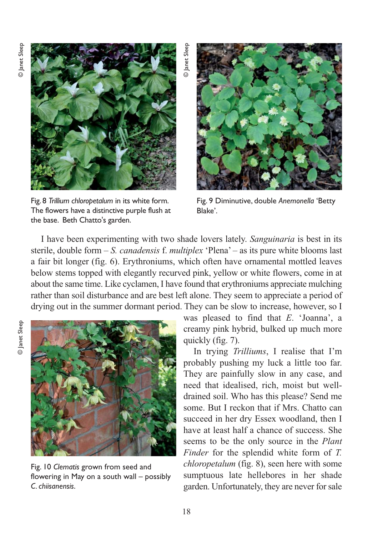

Fig. 8 *Trillium chloropetalum* in its white form. The flowers have a distinctive purple flush at the base. Beth Chatto's garden.

Fig. 9 Diminutive, double *Anemonella* 'Betty Blake'.

I have been experimenting with two shade lovers lately. *Sanguinaria* is best in its sterile, double form – *S. canadensis* f. *multiplex* 'Plena' – as its pure white blooms last a fair bit longer (fig. 6). Erythroniums, which often have ornamental mottled leaves below stems topped with elegantly recurved pink, yellow or white flowers, come in at about the same time. Like cyclamen, I have found that erythroniums appreciate mulching rather than soil disturbance and are best left alone. They seem to appreciate a period of drying out in the summer dormant period. They can be slow to increase, however, so I

© Janet Sleep

**O** Janet Sleep



Fig. 10 *Clematis* grown from seed and flowering in May on a south wall – possibly *C. chiisanensis*.

was pleased to find that *E*. 'Joanna', a creamy pink hybrid, bulked up much more quickly (fig. 7).

In trying *Trilliums*, I realise that I'm probably pushing my luck a little too far. They are painfully slow in any case, and need that idealised, rich, moist but welldrained soil. Who has this please? Send me some. But I reckon that if Mrs. Chatto can succeed in her dry Essex woodland, then I have at least half a chance of success. She seems to be the only source in the *Plant Finder* for the splendid white form of *T. chloropetalum* (fig. 8), seen here with some sumptuous late hellebores in her shade garden. Unfortunately, they are never for sale